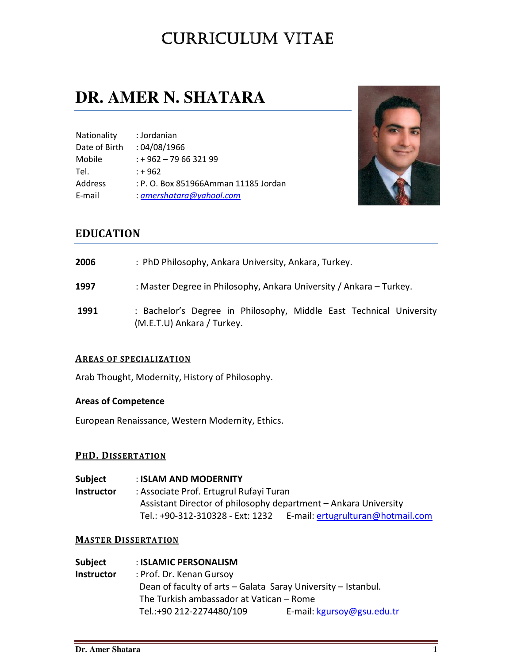# CURRICULUM VITAE

# **DR. AMER N. SHATARA**

| Nationality   | : Jordanian                          |
|---------------|--------------------------------------|
| Date of Birth | :04/08/1966                          |
| Mobile        | $: +962 - 796632199$                 |
| Tel.          | $: +962$                             |
| Address       | : P. O. Box 851966Amman 11185 Jordan |
| E-mail        | $: a$ mershatara@yahool.com          |



# EDUCATION

| 2006 | : PhD Philosophy, Ankara University, Ankara, Turkey.                                              |  |
|------|---------------------------------------------------------------------------------------------------|--|
| 1997 | : Master Degree in Philosophy, Ankara University / Ankara - Turkey.                               |  |
| 1991 | : Bachelor's Degree in Philosophy, Middle East Technical University<br>(M.E.T.U) Ankara / Turkey. |  |

# AREAS OF SPECIALIZATION

Arab Thought, Modernity, History of Philosophy.

# Areas of Competence

European Renaissance, Western Modernity, Ethics.

# PHD. DISSERTATION

Subject : ISLAM AND MODERNITY Instructor : Associate Prof. Ertugrul Rufayi Turan Assistant Director of philosophy department – Ankara University Tel.: +90-312-310328 - Ext: 1232 E-mail: ertugrulturan@hotmail.com

# **MASTER DISSERTATION**

| Subject    | : ISLAMIC PERSONALISM                                         |                            |  |
|------------|---------------------------------------------------------------|----------------------------|--|
| Instructor | : Prof. Dr. Kenan Gursoy                                      |                            |  |
|            | Dean of faculty of arts - Galata Saray University - Istanbul. |                            |  |
|            | The Turkish ambassador at Vatican - Rome                      |                            |  |
|            | Tel.:+90 212-2274480/109                                      | E-mail: kgursoy@gsu.edu.tr |  |
|            |                                                               |                            |  |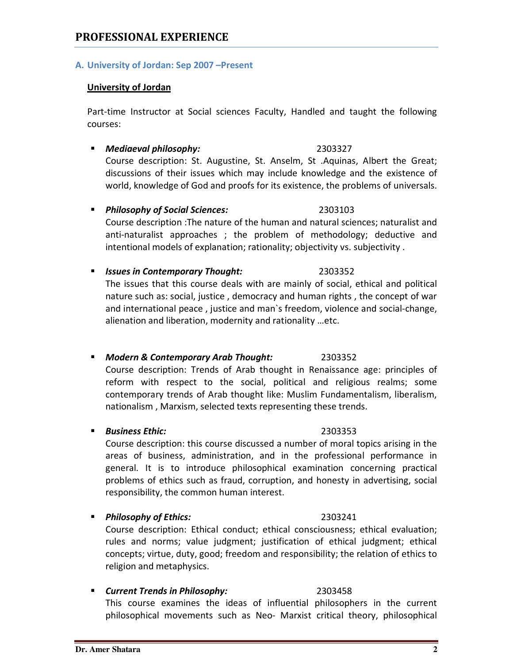# A. University of Jordan: Sep 2007 –Present

# University of Jordan

Part-time Instructor at Social sciences Faculty, Handled and taught the following courses:

**Mediaeval philosophy:** 2303327 Course description: St. Augustine, St. Anselm, St .Aquinas, Albert the Great; discussions of their issues which may include knowledge and the existence of world, knowledge of God and proofs for its existence, the problems of universals.

**Philosophy of Social Sciences:** 2303103

Course description :The nature of the human and natural sciences; naturalist and anti-naturalist approaches ; the problem of methodology; deductive and intentional models of explanation; rationality; objectivity vs. subjectivity .

# **Issues in Contemporary Thought:** 2303352

The issues that this course deals with are mainly of social, ethical and political nature such as: social, justice , democracy and human rights , the concept of war and international peace , justice and man`s freedom, violence and social-change, alienation and liberation, modernity and rationality …etc.

**Modern & Contemporary Arab Thought:** 2303352 Course description: Trends of Arab thought in Renaissance age: principles of reform with respect to the social, political and religious realms; some contemporary trends of Arab thought like: Muslim Fundamentalism, liberalism, nationalism , Marxism, selected texts representing these trends.

# ■ Business Ethic: 2303353

Course description: this course discussed a number of moral topics arising in the areas of business, administration, and in the professional performance in general. It is to introduce philosophical examination concerning practical problems of ethics such as fraud, corruption, and honesty in advertising, social responsibility, the common human interest.

**Philosophy of Ethics:** 2303241

Course description: Ethical conduct; ethical consciousness; ethical evaluation; rules and norms; value judgment; justification of ethical judgment; ethical concepts; virtue, duty, good; freedom and responsibility; the relation of ethics to religion and metaphysics.

# **Current Trends in Philosophy:** 2303458

This course examines the ideas of influential philosophers in the current philosophical movements such as Neo- Marxist critical theory, philosophical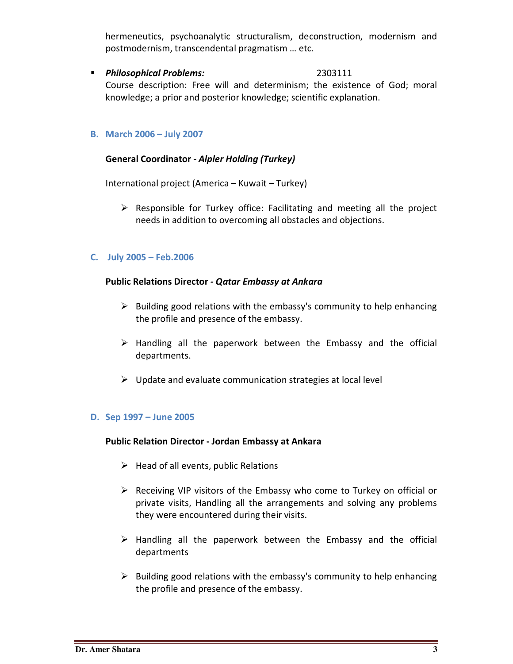hermeneutics, psychoanalytic structuralism, deconstruction, modernism and postmodernism, transcendental pragmatism … etc.

### **Philosophical Problems:** 2303111

Course description: Free will and determinism; the existence of God; moral knowledge; a prior and posterior knowledge; scientific explanation.

## B. March 2006 – July 2007

## General Coordinator - Alpler Holding (Turkey)

International project (America – Kuwait – Turkey)

> Responsible for Turkey office: Facilitating and meeting all the project needs in addition to overcoming all obstacles and objections.

### C. July 2005 – Feb.2006

### Public Relations Director - Qatar Embassy at Ankara

- > Building good relations with the embassy's community to help enhancing the profile and presence of the embassy.
- > Handling all the paperwork between the Embassy and the official departments.
- > Update and evaluate communication strategies at local level

# D. Sep 1997 – June 2005

### Public Relation Director - Jordan Embassy at Ankara

- > Head of all events, public Relations
- Receiving VIP visitors of the Embassy who come to Turkey on official or private visits, Handling all the arrangements and solving any problems they were encountered during their visits.
- > Handling all the paperwork between the Embassy and the official departments
- > Building good relations with the embassy's community to help enhancing the profile and presence of the embassy.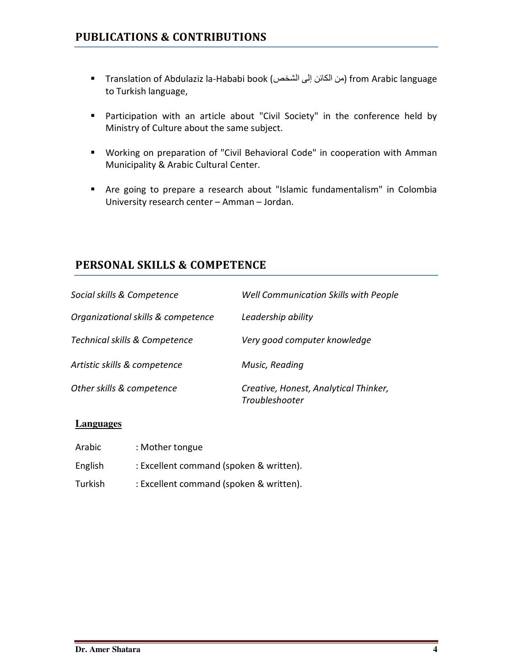- Translation of Abdulaziz la-Hababi book (الشخص إلى الكائن من (from Arabic language to Turkish language,
- Participation with an article about "Civil Society" in the conference held by Ministry of Culture about the same subject.
- Working on preparation of "Civil Behavioral Code" in cooperation with Amman Municipality & Arabic Cultural Center.
- Are going to prepare a research about "Islamic fundamentalism" in Colombia University research center – Amman – Jordan.

# PERSONAL SKILLS & COMPETENCE

| Social skills & Competence         | Well Communication Skills with People                   |
|------------------------------------|---------------------------------------------------------|
| Organizational skills & competence | Leadership ability                                      |
| Technical skills & Competence      | Very good computer knowledge                            |
| Artistic skills & competence       | Music, Reading                                          |
| Other skills & competence          | Creative, Honest, Analytical Thinker,<br>Troubleshooter |

# **Languages**

Arabic : Mother tongue English : Excellent command (spoken & written). Turkish : Excellent command (spoken & written).